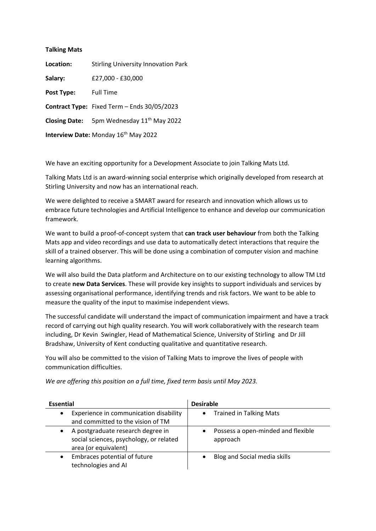| <b>Talking Mats</b> |                                                       |
|---------------------|-------------------------------------------------------|
| Location:           | <b>Stirling University Innovation Park</b>            |
| Salary:             | £27.000 - £30.000                                     |
| Post Type:          | <b>Full Time</b>                                      |
|                     | Contract Type: Fixed Term - Ends 30/05/2023           |
|                     | Closing Date: 5pm Wednesday 11 <sup>th</sup> May 2022 |
|                     | <b>Interview Date: Monday 16th May 2022</b>           |

We have an exciting opportunity for a Development Associate to join Talking Mats Ltd.

Talking Mats Ltd is an award-winning social enterprise which originally developed from research at Stirling University and now has an international reach.

We were delighted to receive a SMART award for research and innovation which allows us to embrace future technologies and Artificial Intelligence to enhance and develop our communication framework.

We want to build a proof-of-concept system that **can track user behaviour** from both the Talking Mats app and video recordings and use data to automatically detect interactions that require the skill of a trained observer. This will be done using a combination of computer vision and machine learning algorithms.

We will also build the Data platform and Architecture on to our existing technology to allow TM Ltd to create **new Data Services**. These will provide key insights to support individuals and services by assessing organisational performance, identifying trends and risk factors. We want to be able to measure the quality of the input to maximise independent views.

The successful candidate will understand the impact of communication impairment and have a track record of carrying out high quality research. You will work collaboratively with the research team including, Dr Kevin Swingler, Head of Mathematical Science, University of Stirling and Dr Jill Bradshaw, University of Kent conducting qualitative and quantitative research.

You will also be committed to the vision of Talking Mats to improve the lives of people with communication difficulties.

*We are offering this position on a full time, fixed term basis until May 2023.*

| <b>Essential</b>                                                                                     | <b>Desirable</b>                               |  |
|------------------------------------------------------------------------------------------------------|------------------------------------------------|--|
| Experience in communication disability<br>and committed to the vision of TM                          | <b>Trained in Talking Mats</b>                 |  |
| A postgraduate research degree in<br>social sciences, psychology, or related<br>area (or equivalent) | Possess a open-minded and flexible<br>approach |  |
| Embraces potential of future<br>technologies and AI                                                  | Blog and Social media skills                   |  |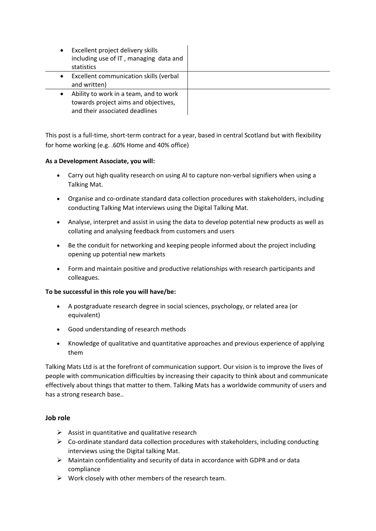| Excellent project delivery skills<br>including use of IT, managing data and<br>statistics                        |  |  |
|------------------------------------------------------------------------------------------------------------------|--|--|
| Excellent communication skills (verbal<br>and written)                                                           |  |  |
| Ability to work in a team, and to work<br>towards project aims and objectives,<br>and their associated deadlines |  |  |

This post is a full-time, short-term contract for a year, based in central Scotland but with flexibility for home working (e.g. .60% Home and 40% office)

## **As a Development Associate, you will:**

- Carry out high quality research on using AI to capture non-verbal signifiers when using a Talking Mat.
- Organise and co-ordinate standard data collection procedures with stakeholders, including conducting Talking Mat interviews using the Digital Talking Mat.
- Analyse, interpret and assist in using the data to develop potential new products as well as collating and analysing feedback from customers and users
- Be the conduit for networking and keeping people informed about the project including opening up potential new markets
- Form and maintain positive and productive relationships with research participants and colleagues.

## **To be successful in this role you will have/be:**

- A postgraduate research degree in social sciences, psychology, or related area (or equivalent)
- Good understanding of research methods
- Knowledge of qualitative and quantitative approaches and previous experience of applying them

Talking Mats Ltd is at the forefront of communication support. Our vision is to improve the lives of people with communication difficulties by increasing their capacity to think about and communicate effectively about things that matter to them. Talking Mats has a worldwide community of users and has a strong research base..

## **Job role**

- $\triangleright$  Assist in quantitative and qualitative research
- $\triangleright$  Co-ordinate standard data collection procedures with stakeholders, including conducting interviews using the Digital talking Mat.
- $\triangleright$  Maintain confidentiality and security of data in accordance with GDPR and or data compliance
- $\triangleright$  Work closely with other members of the research team.